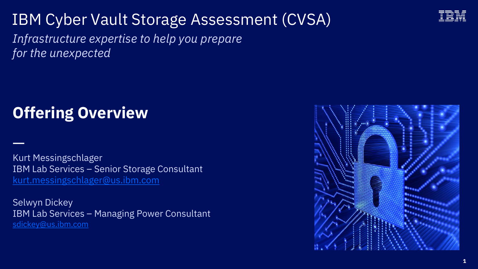## IBM Cyber Vault Storage Assessment (CVSA)

*Infrastructure expertise to help you prepare for the unexpected*

## **Offering Overview**

—

Kurt Messingschlager IBM Lab Services – Senior Storage Consultant [kurt.messingschlager@us.ibm.com](mailto:kurt.messingschlager@us.ibm.com)

Selwyn Dickey IBM Lab Services – Managing Power Consultant [sdickey@us.ibm.com](mailto:sdickey@us.ibm.com)



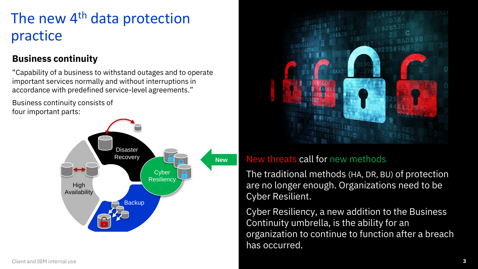## The new 4<sup>th</sup> data protection practice

#### **Business continuity**

"Capability of a business to withstand outages and to operate important services normally and without interruptions in accordance with predefined service-level agreements."

Business continuity consists of four important parts:





#### New threats call for new methods

The traditional methods (HA, DR, BU) of protection are no longer enough. Organizations need to be Cyber Resilient.

Cyber Resiliency, a new addition to the Business Continuity umbrella, is the ability for an organization to continue to function after a breach has occurred.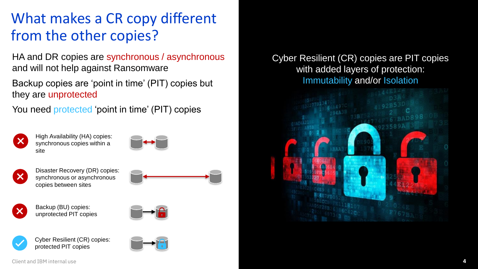## What makes a CR copy different from the other copies?

HA and DR copies are synchronous / asynchronous and will not help against Ransomware

Backup copies are 'point in time' (PIT) copies but they are unprotected

You need **protected** 'point in time' (PIT) copies



High Availability (HA) copies: synchronous copies within a site





Disaster Recovery (DR) copies: synchronous or asynchronous copies between sites





Backup (BU) copies: unprotected PIT copies





Cyber Resilient (CR) copies: protected PIT copies



Cyber Resilient (CR) copies are PIT copies with added layers of protection: Immutability and/or Isolation

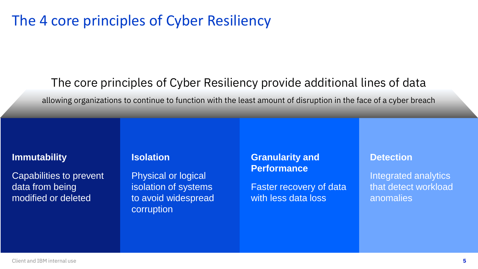### The 4 core principles of Cyber Resiliency

### The core principles of Cyber Resiliency provide additional lines of data

allowing organizations to continue to function with the least amount of disruption in the face of a cyber breach

#### **Immutability**

Capabilities to prevent data from being modified or deleted

#### **Isolation**

Physical or logical isolation of systems to avoid widespread corruption

#### **Granularity and Performance**

Faster recovery of data with less data loss

#### **Detection**

Integrated analytics that detect workload anomalies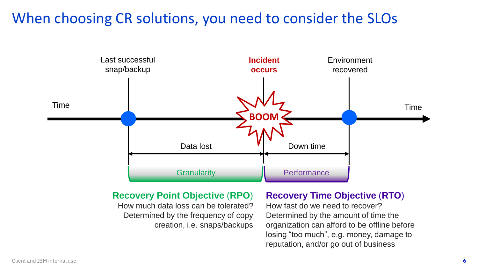### When choosing CR solutions, you need to consider the SLOs



#### **Recovery Point Objective** (**RPO**)

How much data loss can be tolerated? Determined by the frequency of copy creation, i.e. snaps/backups

#### **Recovery Time Objective** (**RTO**)

How fast do we need to recover? Determined by the amount of time the organization can afford to be offline before losing "too much", e.g. money, damage to reputation, and/or go out of business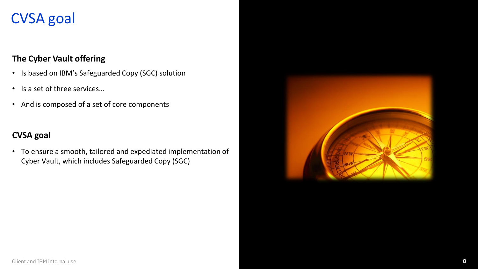## CVSA goal

#### **The Cyber Vault offering**

- Is based on IBM's Safeguarded Copy (SGC) solution
- Is a set of three services…
- And is composed of a set of core components

#### **CVSA goal**

• To ensure a smooth, tailored and expediated implementation of Cyber Vault, which includes Safeguarded Copy (SGC)

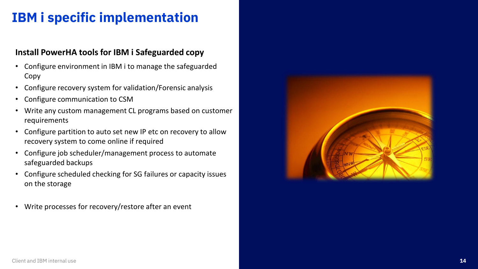### **IBM i specific implementation**

#### **Install PowerHA tools for IBM i Safeguarded copy**

- Configure environment in IBM i to manage the safeguarded Copy
- Configure recovery system for validation/Forensic analysis
- Configure communication to CSM
- Write any custom management CL programs based on customer requirements
- Configure partition to auto set new IP etc on recovery to allow recovery system to come online if required
- Configure job scheduler/management process to automate safeguarded backups
- Configure scheduled checking for SG failures or capacity issues on the storage
- Write processes for recovery/restore after an event

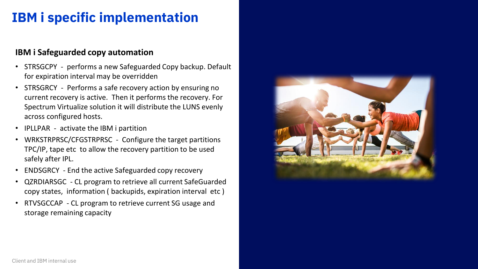### **IBM i specific implementation**

#### **IBM i Safeguarded copy automation**

- STRSGCPY performs a new Safeguarded Copy backup. Default for expiration interval may be overridden
- STRSGRCY Performs a safe recovery action by ensuring no current recovery is active. Then it performs the recovery. For Spectrum Virtualize solution it will distribute the LUNS evenly across configured hosts.
- IPLLPAR activate the IBM i partition
- WRKSTRPRSC/CFGSTRPRSC Configure the target partitions TPC/IP, tape etc to allow the recovery partition to be used safely after IPL.
- ENDSGRCY End the active Safeguarded copy recovery
- QZRDIARSGC CL program to retrieve all current SafeGuarded copy states, information ( backupids, expiration interval etc )
- RTVSGCCAP CL program to retrieve current SG usage and storage remaining capacity

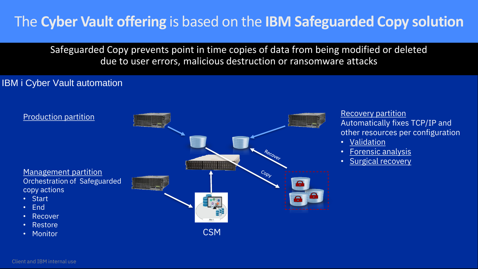## The **Cyber Vault offering** is based on the **IBM Safeguarded Copy solution**

Safeguarded Copy prevents point in time copies of data from being modified or deleted due to user errors, malicious destruction or ransomware attacks

#### IBM i Cyber Vault automation



Automatically fixes TCP/IP and other resources per configuration

- Validation
- Forensic analysis
- Surgical recovery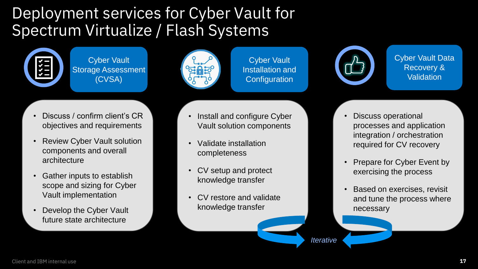## Deployment services for Cyber Vault for Spectrum Virtualize / Flash Systems



Cyber Vault Storage Assessment (CVSA)



Cyber Vault Installation and **Configuration** 



Cyber Vault Data Recovery & **Validation** 

- Discuss / confirm client's CR objectives and requirements
- Review Cyber Vault solution components and overall architecture
- Gather inputs to establish scope and sizing for Cyber Vault implementation
- Develop the Cyber Vault future state architecture
- Install and configure Cyber Vault solution components
- Validate installation completeness
- CV setup and protect knowledge transfer
- CV restore and validate knowledge transfer
- Discuss operational processes and application integration / orchestration required for CV recovery
- Prepare for Cyber Event by exercising the process
- Based on exercises, revisit and tune the process where necessary

*Iterative*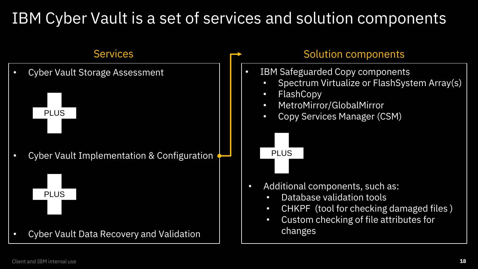## IBM Cyber Vault is a set of services and solution components

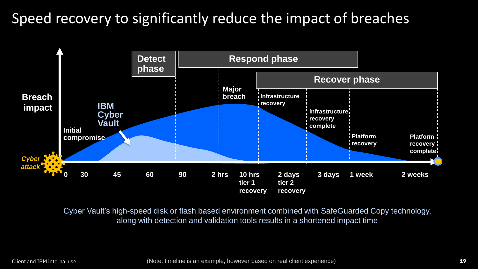## Speed recovery to significantly reduce the impact of breaches



Cyber Vault's high-speed disk or flash based environment combined with SafeGuarded Copy technology, along with detection and validation tools results in a shortened impact time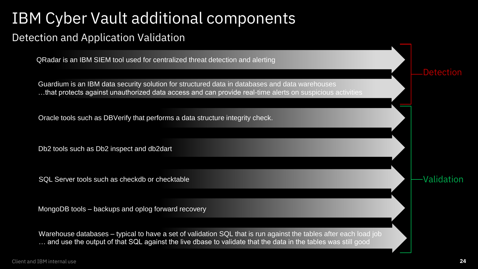# IBM Cyber Vault additional components

### Detection and Application Validation

QRadar is an IBM SIEM tool used for centralized threat detection and alerting

Guardium is an IBM data security solution for structured data in databases and data warehouses …that protects against unauthorized data access and can provide real-time alerts on suspicious activities

Oracle tools such as DBVerify that performs a data structure integrity check.

Db2 tools such as Db2 inspect and db2dart

SQL Server tools such as checkdb or checktable

MongoDB tools – backups and oplog forward recovery

Warehouse databases – typical to have a set of validation SQL that is run against the tables after each load job … and use the output of that SQL against the live dbase to validate that the data in the tables was still good

**Detection** 

Validation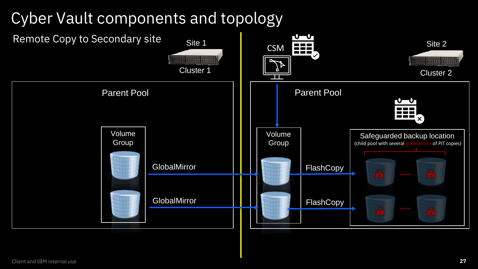# Cyber Vault components and topology

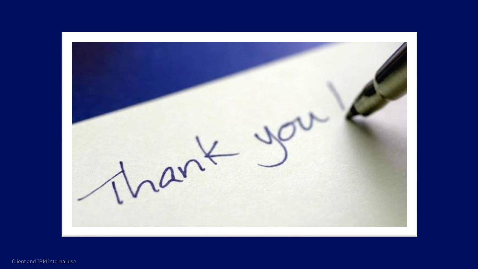